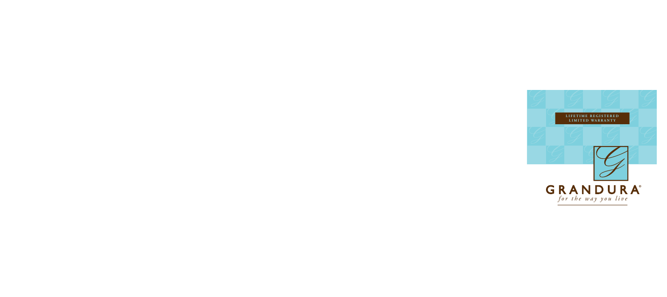

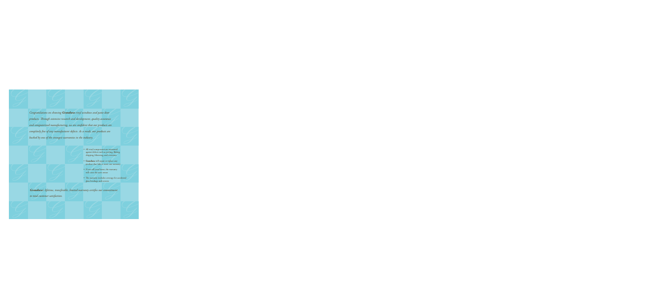*Congratulations on choosing Grandura vinyl windows and patio door pr oducts. Through extensive research and development, quality assurance and computerized manufacturing, we are confident that our products are completely free of any manufacturer defects. As a result, our products are backed by one of the strongest warranties in the industry.* are<br>
are<br>
are<br>
are warranted<br>
are warranted

- All vinyl components are warranted against defects such as peeling, flaking, chipping, blistering, and corrosion
- Grandura will repair or replace any product that fails to meet our warranty
- If you sell your home, the warranty will cover the new owner
- The warranty includes coverage for accidental glass breakage and screens

*Grandura's lifetime, transferable, limited warranty certifies our commitment to total customer satisfaction.*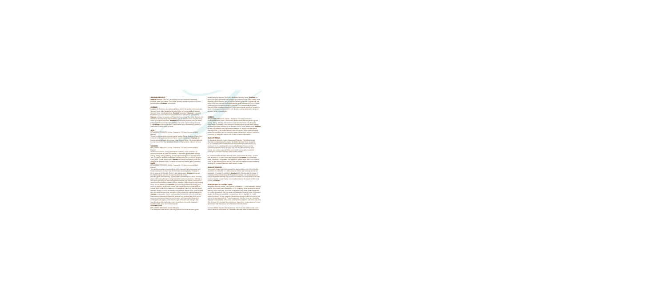## **GRANDURA PRODUCTS**

**Grandura** Products ("Product") includes the vinyl and hardware components, hardware, glass and screens. This Limited Warranty applies only when all of these parts are genuine **Grandura** components.

#### **COVERAGE:**

**GRANDURA PRODUCTS**<br> **GRANDURA PRODUCTS**<br> **GRANDURA PRODUCTS**<br> **CONSECTIONERY** products includes the winyi and brackware components,<br>
break during the Worromy does not screen in the Various Conservation of the Second Himse Subject to the limitations and exclusions below, and for the duration of the applicable Warranty Period of the Residential Warranty Holder or Commercial/Multi-Resident Warranty Holder (as defined below), **Grandura** (hereinafter, "**Grandura**"), warrants that the Product will be free from non-conformities in material and workmanship. **Grandura** will repair or replace any Product that fails to meet the Limited Warranty of a Residential Warranty Holder that is installed up to an elevation of not more than three stories; provided in either case, **Grandura** may refund the purchase price (the lesser of the original Product/component purchase price or the original catalog list price) if in **Grandura**'s opinion such repair or replacement is not commercially practical or reasonable or cannot timely be made.

## **VINYL:**

REPLACEMENT PRODUCTS: Lifetime - Residential; 10-Years Commercial/Multi-**Resident** 

The vinyl components are warranted against peeling, flaking, chipping, blistering and corrosion for the applicable Warranty Period. If such defects occur, **Grandura** will provide replacement parts at no charge to the Warranty Holder. This Limited Warranty on vinyl is void if the vinyl is painted, stained or if the surface is altered in any way.

## **HARDWARE:**

REPLACEMENT PRODUCTS: Lifetime - Residential; 10-Years Commercial/Multi-**Resident** 

The Product hardware (locking mechanisms, fasteners, rollers, balances, etc., excluding the finish on brass door handles) is warranted against defects such as peeling, flaking, rusting, blistering, corrosion and breaking for the Warranty Period (two (2) years for hardware components installed within two (2) miles of any body of salt water). If such defects occur, **Grandura** will provide replacement parts at no charge to the Warranty Holder. The finish on brass door handles is NOT warranted. **GLASS:**

REPLACEMENT PRODUCTS: Lifetime - Residential; 10-Years Commercial/Multi-Resident

The installed and sealed insulating glass unit is warranted against permanent and material obstruction of vision from film formation caused by dust or moisture in the air space for the Warranty Period. If such defects occur, **Grandura** will replace the insulating glass unit at no charge to the Warranty Holder.

Insulating glass units containing capillary tubes (recommended for use in insulating glass units traveling through or being installed in areas with elevations 7,000 feet or more above sea level) are warranted against permanent and material obstruction of vision from film formation caused by dust or moisture in the air space for the Warranty Period. If such defects occur, **Grandura** will provide a replacement insulating glass unit at no charge to the Warranty Holder. This Limited Warranty for Glass does not include: Minor variations in glass color or imperfections that do not affect the glass's structural integrity or do not permanently and materially obstruct vision, glass covered with after-market window films, coatings or other products not originally supplied by **Grandura**, condensation, frost or mold resulting from humidity within the building or interior/exterior temperature differentials, stresses from localized heat which caused excessive temperature differentials over the glass, post-manufacture dissipation of inert gases (as Argon), or the amount of gas in Products with inert gas-filled insulating glass units, scratches or other imperfections not readily observable beyond four feet away, and mineral deposits.

## **GLASS BREAKAGE:**

REPLACEMENT PRODUCTS: Lifetime Residential

If the component of the Product (including Products made with tempered glass)

breaks during the Warranty Period of a Residential Warranty Holder, **Grandura** will replace the glass component at no charge to the Warranty Holder. (This Lifetime Glass Breakage Limited Warranty does not include: Specialty glass such as glass with grid patterns that have been cut into the glass surface, glass breakage following a transfer of the premises on which the Product is installed to a Commercial/Multi-Resident Warranty Holder, breakage arising from "certain environmental conditions" as set forth below or breakage arising from riot or civil disorder, building settlement or structural failures to walls or foundations.)

### **SCREENS:**

REPLACEMENT PRODUCTS: Lifetime - Residential, 10-Years Commercial The Product's screen frame is warranted to the Residential Warranty Holder against peeling, flaking, blistering and corrosion for the Warranty Period. The fiberglass screen mesh is warranted to the Residential Warranty Holder against insect damage, accidental punctures and tears for the Warranty Period. If such defects occur, **Grandura** will ship via common carrier replacement screens at no charge to the Residential Warranty Holder. (This Limited Warranty does not include: Screen material damage caused by domestic or wild animals, bent screen frames due to improper installation or removal, or installation and the cost of labor for screen replacement.)

#### **WARRANTY PERIOD:**

For Residential Warranty Holder (Replacement Products): The Lifetime Limited Warranty is transferable by the original Residential Warranty Holder once either (a) to a subsequent Residential owner and the Residential Warranty Period will continue or (b) to a subsequent Commercial/Multi-Resident owner and the Commercial Warranty Period will apply only until the 10th anniversary of the transfer, and in either case only if the warranty has been properly transferred following the procedure described under warranty transfer.

For Commercial/Multi-Resident Warranty Holder (Replacement Products): 10 Years from the earlier of the date Product was shipped from **Grandura** or an authorized dealer; transferable to successor non-Residential owners during and for any balance of the 10 year Warranty Period and only if the warranty has been properly transferred following the procedure described under warranty transfer.

## **WARRANTY TRANSFER:**

Any warranty transfer described above will be deemed effective only if the following procedures are completed: (1) written notice of transfer (see backside warranty for application for transfer) is provided to **Grandura** within 30 days after the transfer of ownership of the premises where the Products are installed, (2) accompanied by a copy of this Limited Warranty, the product order number (bar code located in the sash head, sill or jamb of each Product, and a certified check in the amount of \$50 made payable to **Grandura**.

#### **WARRANTY HOLDER CLASSIFICATIONS:**

Residential Warranty Holders: If the Product is installed in (i) a new residential dwelling and the first occupant owns the dwelling or (ii) an existing owner-occupied residential dwelling, and in each case, at the time of installation such owner is also responsible for Product replacement, then that owner is a Residential Warranty Holder. For example, assume the Product is installed in a condominium unit (a "dwelling") in a multiresident building. If the first occupant of the condominium unit is the first owner of that unit and is also responsible for Product replacement, then that owner is a Residential Warranty Holder; however, if the owner is not the first occupant or if someone else other than the owner (for example, the condominium association) is responsible for Product replacement, then the owner is not a Residential Warranty Holder.

Commercial/Multi-Resident Warranty Holders: If the Product is installed under conditions in which no one qualifies as a Residential Warranty Holder as described above,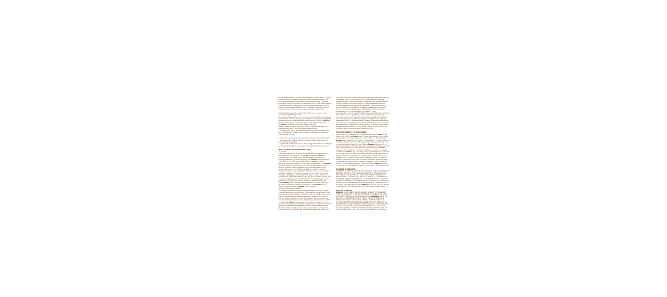then the Warranty Holder is the owner of the dwelling or building in which the Product has been installed at the time of installation (and its builder and contractor). That owner is classified as a Commercial/Multi-Resident Warranty Holder. For example, this includes owners of commercial or investment buildings, or multi-resident premises in which the occupant is not responsible for Product replacement whether or not the occupant owns the residential dwelling unit in the premises (including by example, certain condominiums, town homes, duplexes, apartments, cooperatives).

## This Limited Warranty is further subject to the limitations and exclusions below: BAY AND BOW WINDOW PRODUCTS

All products making up a Bay or Bow window are covered under this Limited Warranty ONLY if the use, installation, finishing and maintenance are consistent with **Grandura**'s recommendations and written instructions that are generally available in **Grandura**'s Installation Instructions as updated by bulletins or other written communications or on **Grandura**'s Worldwide website www.GranduraLiving.com.

However, without limiting the foregoing the following installation procedures are emphasized and failure to do so will void the Limited Warranty:

A roof must be built over all Bay or Bow windows after installation as the top of the Bay or Bow window is not designed to prevent water penetration as manufactured, without the help of a roof.

- A cable system must be used to help support from above all Bay or Bow windows.

- Knee braces must be utilized and must be secured to studs to help support from below all Bay or Bow windows.

- All joints must be checked and caulked with caulking compound because handling of the Product during installation may cause factory sealed joints to be compromised.

## **WHAT THIS LIMITED WARRANTY DOES NOT COVER**

#### (a) Generally

This Limited Warranty does not include non-conformance or damages attributable to or arising from minor scratches or minor visual imperfections; Negligence, vandalism, riot or civil disorder, acts of terrorism, improper use, installation, finishing maintenance or operation inconsistent with **Grandura**'s recommendations and written instructions that are generally available in **Grandura**'s installation instructions as updated by bulletins or other written communications or on **Grandura**'s Worldwide website www.GranduraLiving.com; Improper pre-installation storage, including inadequate shelter or inadequate venting of shipping wrap in humid locations; Misapplications or faulty building design or construction, including inadequate flashings or caulking; building settlement or structural failures of walls or foundations; Subjection to improper temperature, humidity, or other environmental conditions including by example, harmful fumes, vapors, solvents, chemicals, or pollutants in the atmosphere; Normal wear and tear, including without limitation, wear and tear to weatherstripping or door bottom gaskets; The caulking used to seal the frames or trim packages; labor costs are not included under this warranty and neither **Grandura** nor its distributors will be responsible for any costs incurred in the removal, replacement, installation or reinstallation of the **Grandura** product or any part thereof, furnished by **Grandura** under the warranty. (b) Certain Environmental Conditions

This Limited Warranty does not guarantee safety for persons or property, nor make

a premise hurricane-proof or impact-proof. Follow weather and news reports in order to assess severe weather situations and obey local authorities' shelter and evacuation orders. This Limited Warranty does not cover damage attributable to or caused by acts of nature that include, but are not limited to stresses, high winds, floods, fire and other conditions that exceed Product designs that are test evaluated and certified as referenced in **Grandura**'s published literature. Certification approval, rating, and references to other performance standards mean that the Product meets the established specification parameters of the certification process or standard testing at the time the Product is manufactured. However, with exposure over time to environmental conditions, including by example, high-wind events and other forces of nature, the

Product will be subjected to normal and abnormal wear and its performance capability may change. Consult local building code laws, and the certification and rating agencies' published materials and website, for guidelines on the standards necessary to meet all regulations and codes in your area. Product features designed to help address pressurization of a building during high-wind or other severe storm events are not a guarantee against water and air infiltration. **Grandura** is not responsible for claims or damages caused by water or air infiltration or improper installation. Product selection is the sole responsibility of the Warranty Holder.

(c) Damage From Failure to Inspect Product Following Each High-Wind or Impact Event Product that is subject to any high-wind event or the possibility of having been impacted by windborne debris should be promptly inspected by the Warranty Holder or by a building professional if the Warranty Holder cannot perform this inspection themselves or if there is concern about Product damage. Proper care and maintenance of the Product is the responsibility of the Warranty Holder and failure to do so may void the Limited Warranty. Although a Product may appear to be in good working condition, the effects of such an event(s) may have adversely affected the ability of the product to provide subsequent protection against another such event.

## **THIS LIMITED WARRANTY'S EXCLUSIVE REMEDY**

If the Product or any components fail to meet this Limited Warranty, **Grandura**'s sole obligation is, to either (as **Grandura** elects): a) repair the component (color matching not guaranteed); or b) provide replacement component(s) to the Warranty Holder or the **Grandura** dealer designated (color matching not guaranteed); or c) refund the Warranty Holder's purchase price (the lesser of the original Product/component purchase price or the original catalog list price); the cost of labor is **Grandura**'s obligation only as expressly provided under "Coverage." Repaired or replaced components are warranted only on the same terms and for the remainder of the Warranty Period. **Grandura** reserves the right to discontinue or change any Product. If the Product or component is not available, **Grandura** may select and provide a replacement product or component of equal quality and price. This is the Warranty Holder's sole and exclusive remedy for the product under the Limited Warranty. By example but not limitation, the Limited Warranty does not cover the following costs and expenses; (i) except as expressly set forth in the Limited Warranty, labor for removing, reinstalling, refinishing Product (or other materials that are removed, reinstalled or refinished to repair or replace the Product); (ii) shipping/freight expenses to return the Product to **Grandura**; (iii) normal maintenance; or (iv) consequential, special, or indirect losses or damages of any kind.

## **DISCLAIMER OF WARRANTIES**

THIS LIMITED WARRANTY IS IN LIEU OF AND EXCLUDES ALL OTHER WARRANTIES NOT EXPRESSLY SET FORTH HEREIN, EXPRESSED OR IMPLIED BY OPERATION OF LAW OR OTHERWISE, INCLUDING BUT NOT LIMITED TO ANY IMPLIED WARRANTIES OF MERCHANTABILITY OR FITNESS FOR A PARTICULAR PURPOSE. TO THE EXTENT THAT ANY IMPLIED WARRANTIES MAY NONETHELESS EXIST BY OPERATION OF LAW, SUCH WARRANTIES ARE LIMITED TO THE DURATION PROVIDED BY LAW, SOME STATES/PROV-INCES DO NOT ALLOW LIMITATIONS ON HOW LONG AN IMPLIED WARRANTY LASTS, SO THE ABOVE LIMITATIONS MAY NOT APPLY. **GRANDURA** DOES NOT AUTHORIZE ANYONE TO CREATE FOR IT ANY OBLIGATION OR LIABILITY IN CONNECTION WITH PRODUCTS.

#### **LIMITATION OF LIABILITY**

**GRANDURA**'S SOLE LIABILITY UNDER THIS LIMITED WARRANTY IS REPLACEMENT, REPAIR, OR REFUND OF THE PURCHASE PRICE AS SET FORTH ABOVE (AND LABOR AS EXPRESSLY SET FORTH ABOVE). IN NO EVENT, WILL **GRANDURA** BE LIABLE FOR INCIDENTAL, CONSEQUENTIAL, INDIRECT, SPECIAL, OR PUNITIVE DAMAGES OF PRODUCT USE, REINSTALLATION, LABOR, REMOVAL, REFINISHING (EXCEPT TO THE EXTENT EXPRESSLY PROVIDED IN THIS LIMITED WARRANTY), TEMPORARY OR PERMANENT RELOCATION OF RESIDENTS OR PROPERTY, LOSS OF PROFITS/REVENUE, INTEREST, LOST GOODWILL, WORK STOPPAGE, IMPAIRMENT OF OTHER GOODS OR WORK, INCREASED OPERATING EXPENSES, EMOTIONAL DISTRESS CLAIMS, OR CLAIMS OF THIRD PARTIES FOR SUCH DAMAGES, WHETHER BASED ON CONTRACT,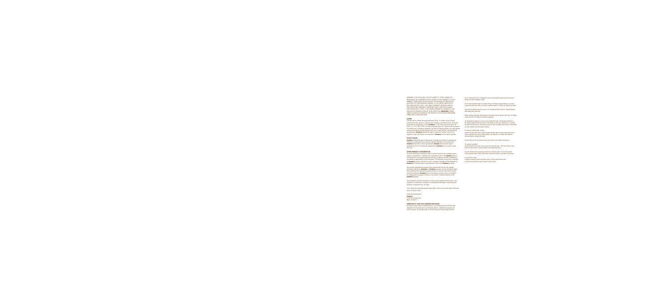WARRANTY, TORT (INCLUDING, BUT NOT LIMITED TO, STRICT LIABILITY OR NEGLIGENCE) OR OTHERWISE, EVEN IF ADVISED OF THE POSSIBILITY OF SUCH DAMAGES. SOME STATES DO NOT ALLOW THE EXCLUSION OR LIMITATION OF INCIDENTAL OR CONSEQUENTIAL DAMAGES, SO THE ABOVE LIMITATION OR EXCLUSION MAY NOT APPLY. THIS LIMITED WARRANTY PROVIDES SPECIFIC LEGAL RIGHTS BUT WARRANTY HOLDER MAY HAVE OTHER RIGHTS WHICH VARY FROM STATE TO STATE. IF THIS LIMITED WARRANTY IS DEEMED TO HAVE FAILED IN ITS ESSENTIAL PURPOSE, IN NO EVENT WILL **GRANDURA**'S ENTIRE LIABILITY EXCEED THE LESSER OF THE PRODUCT'S OR THE NON-CONFORMING COMPONENT'S PURCHASE PRICE.

## **CLAIMS**

Claims must be initiated during the Warranty Period. To initiate a claim, please contact the builder, dealer or contractor who installed or sold the Product. If the party is unknown or unreachable, contact **Grandura**, 1195 Prince Hall Drive, Beloit, WI 53511 or 1-877-262-7238 or at www.GranduraLiving.com. Claimant will be required to provide proof of premises ownership, the date of Product purchase, the order number (bar code located on the sash head, jamb or sill of each Product), and specify the alleged defect. **Grandura** reserves the right to inspect the Product, and may be required to return the Product or component to **Grandura** (at Claimant's expense).

#### **Product Changes**

**Grandura** reserves the right to discontinue or change any product it manufactures. If the part or component of the product originally installed is not available and **Grandura** determines to make replacement. **Grandura** shall have the right to substitute such part or component designated by **Grandura** to be of equal quality and price.

#### **OTHER WARRANTY CONSIDERATIONS**

On some installations caulking is used to seal the frames or trim package against water or air penetration. Caulking is not considered a part of the **Grandura** product, and therefore is not covered under this warranty. Caulking is normally considered a maintenance responsibility of the homeowner. This warranty is valid only if products by **Grandura** are used, but shall be void if accessory products not manufactured by **Grandura** are installed which cause defects to occur in the **Grandura** products.

The warranty statements contained in this certificate set forth the only express warranties extended by **Grandura** for **Grandura** products, and the provisions hereof shall constitute the purchaser's exclusive remedy for breach of this warranty given under this certificate. **Grandura** shall not be liable to property owner for incidental or consequential damages for breach of any written or implied warranty on the **Grandura** products.

Some states do not allow limitations on how long an implied warranty lasts, or the exclusion or limitations of incidental or consequential damages, so that the above limitation or exclusion may not apply.

This Limited Warranty gives specific legal rights. There may be other rights which may vary from state to state.

Corporate Headquarters: **Grandura** 1195 Prince Hall Drive Beloit, WI 53511

#### **OPERATION OF YOUR VINYL WINDOWS AND DOORS**

Along with being virtually maintenance free, your windows and doors have been designed and manufactured to be thermally efficient, aesthetically pleasing and easy to operate. All operable sash on Double Hung and Single Hung windows

tilt in, Slider sash lift out, Casements open by turning the handle and patio doors feature corrosion-resistant rollers.

To tilt in the operable sash on Double Hung and Single Hung windows, you must: Unlock the sash and raise (or lower) it approximately 4" above (or below) the frame.

Slide the tilt latches toward the cam lock and gently tilt the sash in. Always support tilted sash while cleaning.

When finished cleaning, tilt the sash up and snap the tilt latches into place. For safety, make sure the tilt latches are securely engaged.

If it becomes necessary to remove and reinsert the sash, tilt the sash inward to a 90-degree angle and lift the bottom of the sash up and out of the frame. To reinsert the sash into the frame, make sure both pivot bars (located at the bottom of the sash) are fully inserted into the balance shoes.

## To remove a Slider sash, simply:

Unlock the sash and slide it past the sash retainer insert located in the head. Note: Some windows may have a sash retainer clip instead of an insert that must be removed before opening the sash.

Lift the sash up into the head and pull the bottom of the sash towards you.

#### To operate Casement:

Lift the handle on the side of the frame to unlock the sash. Turn the handle on the bottom of the frame to open the sash to the desired position.

Turn the handle in the opposite direction to close the sash. To lock the window, make sure the sash is fully closed then lower the handle on the side of the frame.

#### To lock Patio Doors:

Close the operable panel and make sure it is fully against the frame. Lock the panel with the lever located on the handle.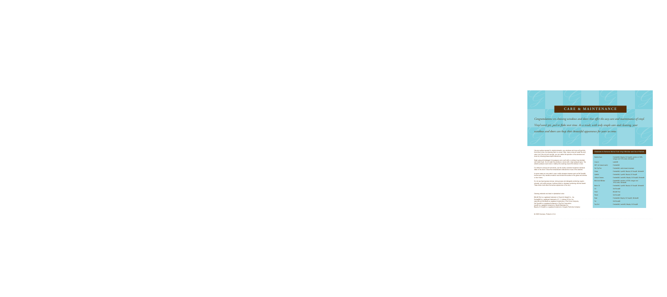# **CARE & MAINTENANCE**

*Congratulations on choosing windows and doors that offer the easy care and maintenance of vinyl. Vinyl won't pit, peel or flake over time. As a result, with only simple care and cleaning, your windows and doors can keep their beautiful appearance for years to come.*

Like any surface exposed to outside elements, your windows and doors will get dirty from time to time, but cleaning them is a snap. Often, heavy rains will wash the vinyl clean, but if the rain isn't enough, you can restore the splendor of the windows and doors by following these simple instructions.

Wash using mild detergent (if necessary) and a soft cloth or ordinary long-handled soft bristle brush. Do not wash the windows or doors with a high pressure spray. The extreme pressure could crack or destroy the caulking around the window or door.

For difficult to remove dirt and stains, use the readily available household cleansers listed on the chart. Follow the manufacturer's instructions on use of the cleaners.

In some cases you may wish to use a mildly abrasive cleanser such as Soft Scrub®, but the use of any abrasive material could scratch the surface of the glass and window or door frame.

Do not use liquid grease remover, strong soaps and detergents containing organic solvents, nail polish remover, furniture polish or cleansers containing chlorine bleach. These items could affect the surface appearance of the vinyl.

Cleaning materials are listed in alphabetical order.

Brillo® Pad is a registered trademark of Church & Dwight Co., Inc. Fantastik® is a registered trademark of S. C. Johnson & Son, Inc. Lestoil® and Windex® are registered trademarks of The Clorox Company Soft Scrub® is a registered trademark of The Dial Corporation Lysol® is a registered trademark of Reckitt Benckiser Inc. Murphy Oil Soap® is a registered trademark of Colgate-Palmolive Company

## Cleansers to Remove Stains From Vinyl Window and Door Frames

| <b>Bubble Gum</b>     | Fantastik®, Murphy Oil Soap®, solution of 30%<br>vinegar and 70% water, Windex® |
|-----------------------|---------------------------------------------------------------------------------|
| Crayon                | Lestoil®                                                                        |
| DAP (oil based caulk) | <b>Fantastik®</b>                                                               |
| Felt-Tip Pen          | Fantastik®, water based cleansers                                               |
| Grass                 | Fantastik®, Lysol®, Murphy Oil Soap®, Windex®                                   |
| Lipstick              | Fantastik®, Lysol®, Murphy Oil Soap®                                            |
| <b>Lithium Grease</b> | Fantastik®, Lestoil®, Murphy Oil Soap®, Windex®                                 |
| Mold and Mildew       | Fantastik®, solution of 30% vinegar and<br>70% water. Windex®                   |
| Motor Oil             | Fantastik®, Lysol®, Murphy Oil Soap®, Windex®                                   |
| Oil                   | Soft Scrub®                                                                     |
| Paint                 | <b>Brillo® Pad</b>                                                              |
| Pencil                | Soft Scrub®                                                                     |
| <b>Rust</b>           | Fantastik®, Murphy Oil Soap®, Windex®                                           |
| Tar                   | Soft Scrub®                                                                     |
| <b>Top Soil</b>       | Fantastik®, Lestoil®, Murphy Oil Soap®                                          |